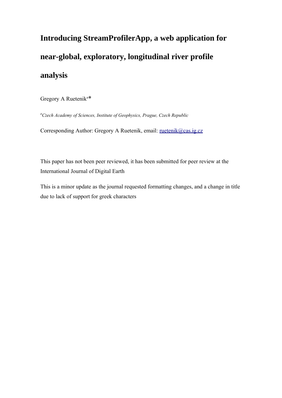# **Introducing StreamProfilerApp, a web application for near-global, exploratory, longitudinal river profile analysis**

Gregory A Ruetenik<sup>a\*</sup>

*<sup>a</sup>Czech Academy of Sciences, Institute of Geophysics, Prague, Czech Republic*

Corresponding Author: Gregory A Ruetenik, email: [ruetenik@cas.ig.cz](mailto:ruetenik@cas.ig.cz)

This paper has not been peer reviewed, it has been submitted for peer review at the International Journal of Digital Earth

This is a minor update as the journal requested formatting changes, and a change in title due to lack of support for greek characters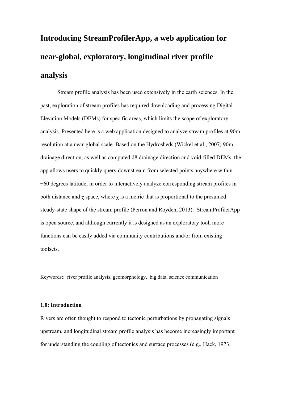# **Introducing StreamProfilerApp, a web application for near-global, exploratory, longitudinal river profile analysis**

Stream profile analysis has been used extensively in the earth sciences. In the past, exploration of stream profiles has required downloading and processing Digital Elevation Models (DEMs) for specific areas, which limits the scope of exploratory analysis. Presented here is a web application designed to analyze stream profiles at 90m resolution at a near-global scale. Based on the Hydrosheds (Wickel et al., 2007) 90m drainage direction, as well as computed d8 drainage direction and void-filled DEMs, the app allows users to quickly query downstream from selected points anywhere within  $\pm 60$  degrees latitude, in order to interactively analyze corresponding stream profiles in both distance and  $\chi$  space, where  $\chi$  is a metric that is proportional to the presumed steady-state shape of the stream profile (Perron and Royden, 2013). StreamProfilerApp is open source, and although currently it is designed as an exploratory tool, more functions can be easily added via community contributions and/or from existing toolsets.

Keywords:: river profile analysis, geomorphology, big data, science communication

# **1.0: Introduction**

Rivers are often thought to respond to tectonic perturbations by propagating signals upstream, and longitudinal stream profile analysis has become increasingly important for understanding the coupling of tectonics and surface processes (e.g., Hack, 1973;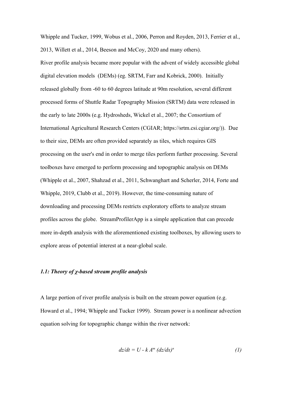Whipple and Tucker, 1999, Wobus et al., 2006, Perron and Royden, 2013, Ferrier et al., 2013, Willett et al., 2014, Beeson and McCoy, 2020 and many others).

River profile analysis became more popular with the advent of widely accessible global digital elevation models (DEMs) (eg. SRTM, Farr and Kobrick, 2000). Initially released globally from -60 to 60 degrees latitude at 90m resolution, several different processed forms of Shuttle Radar Topography Mission (SRTM) data were released in the early to late 2000s (e.g. Hydrosheds, Wickel et al., 2007; the Consortium of International Agricultural Research Centers (CGIAR; https://srtm.csi.cgiar.org/)). Due to their size, DEMs are often provided separately as tiles, which requires GIS processing on the user's end in order to merge tiles perform further processing. Several toolboxes have emerged to perform processing and topographic analysis on DEMs (Whipple et al., 2007, Shahzad et al., 2011, Schwanghart and Scherler, 2014, Forte and Whipple, 2019, Clubb et al., 2019). However, the time-consuming nature of downloading and processing DEMs restricts exploratory efforts to analyze stream profiles across the globe. StreamProfilerApp is a simple application that can precede more in-depth analysis with the aforementioned existing toolboxes, by allowing users to explore areas of potential interest at a near-global scale.

# *1.1: Theory of χ-based stream profile analysis*

A large portion of river profile analysis is built on the stream power equation (e.g. Howard et al., 1994; Whipple and Tucker 1999). Stream power is a nonlinear advection equation solving for topographic change within the river network:

$$
dz/dt = U - k Am (dz/dx)n
$$
 (1)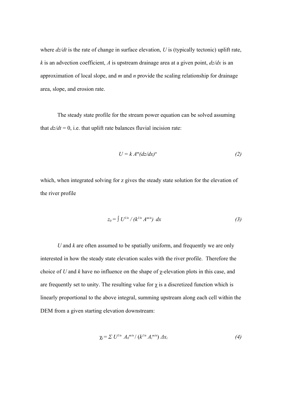where  $\frac{dz}{dt}$  is the rate of change in surface elevation, U is (typically tectonic) uplift rate, *k* is an advection coefficient, *A* is upstream drainage area at a given point,  $dz/dx$  is an approximation of local slope, and *m* and *n* provide the scaling relationship for drainage area, slope, and erosion rate.

The steady state profile for the stream power equation can be solved assuming that  $dz/dt = 0$ , i.e. that uplift rate balances fluvial incision rate:

$$
U = k A^m (dz/dx)^n \tag{2}
$$

which, when integrated solving for z gives the steady state solution for the elevation of the river profile

$$
z_0 = \int U^{1/n} / (k^{1/n} A^{m/n}) dx \tag{3}
$$

*U* and *k* are often assumed to be spatially uniform, and frequently we are only interested in how the steady state elevation scales with the river profile. Therefore the choice of *U* and *k* have no influence on the shape of χ-elevation plots in this case, and are frequently set to unity. The resulting value for  $\chi$  is a discretized function which is linearly proportional to the above integral, summing upstream along each cell within the DEM from a given starting elevation downstream:

$$
\chi_i = \sum U^{1/n} A_0^{m/n} / (k^{1/n} A_i^{m/n}) \Delta x_i \tag{4}
$$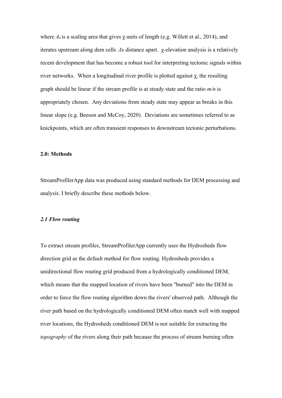where  $A_0$  is a scaling area that gives  $\gamma$  units of length (e.g. Willett et al., 2014), and iterates upstream along dem cells *Δx* distance apart. χ-elevation analysis is a relatively recent development that has become a robust tool for interpreting tectonic signals within river networks. When a longitudinal river profile is plotted against  $\gamma$ , the resulting graph should be linear if the stream profile is at steady state and the ratio *m/n* is appropriately chosen. Any deviations from steady state may appear as breaks in this linear slope (e.g. Beeson and McCoy, 2020). Deviations are sometimes referred to as knickpoints, which are often transient responses to downstream tectonic perturbations.

#### **2.0: Methods**

StreamProfilerApp data was produced using standard methods for DEM processing and analysis. I briefly describe these methods below.

#### *2.1 Flow routing*

To extract stream profiles, StreamProfilerApp currently uses the Hydrosheds flow direction grid as the default method for flow routing. Hydrosheds provides a unidirectional flow routing grid produced from a hydrologically conditioned DEM, which means that the mapped location of rivers have been "burned" into the DEM in order to force the flow routing algorithm down the rivers' observed path. Although the river path based on the hydrologically conditioned DEM often match well with mapped river locations, the Hydrosheds conditioned DEM is not suitable for extracting the *topography* of the rivers along their path because the process of stream burning often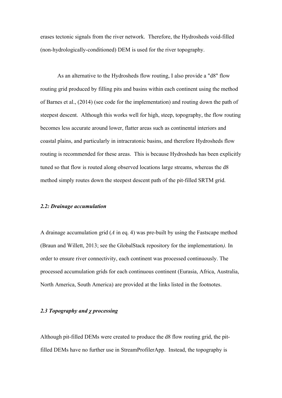erases tectonic signals from the river network. Therefore, the Hydrosheds void-filled (non-hydrologically-conditioned) DEM is used for the river topography.

As an alternative to the Hydrosheds flow routing, I also provide a "d8" flow routing grid produced by filling pits and basins within each continent using the method of Barnes et al., (2014) (see code for the implementation) and routing down the path of steepest descent. Although this works well for high, steep, topography, the flow routing becomes less accurate around lower, flatter areas such as continental interiors and coastal plains, and particularly in intracratonic basins, and therefore Hydrosheds flow routing is recommended for these areas. This is because Hydrosheds has been explicitly tuned so that flow is routed along observed locations large streams, whereas the d8 method simply routes down the steepest descent path of the pit-filled SRTM grid.

#### *2.2: Drainage accumulation*

A drainage accumulation grid (*A* in eq. 4) was pre-built by using the Fastscape method (Braun and Willett, 2013; see the GlobalStack repository for the implementation*).* In order to ensure river connectivity, each continent was processed continuously. The processed accumulation grids for each continuous continent (Eurasia, Africa, Australia, North America, South America) are provided at the links listed in the footnotes.

# *2.3 Topography and χ processing*

Although pit-filled DEMs were created to produce the d8 flow routing grid, the pitfilled DEMs have no further use in StreamProfilerApp. Instead, the topography is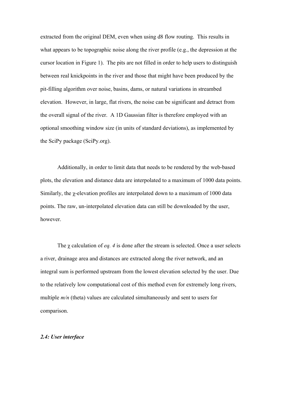extracted from the original DEM, even when using d8 flow routing. This results in what appears to be topographic noise along the river profile (e.g., the depression at the cursor location in Figure 1). The pits are not filled in order to help users to distinguish between real knickpoints in the river and those that might have been produced by the pit-filling algorithm over noise, basins, dams, or natural variations in streambed elevation. However, in large, flat rivers, the noise can be significant and detract from the overall signal of the river. A 1D Gaussian filter is therefore employed with an optional smoothing window size (in units of standard deviations), as implemented by the SciPy package (SciPy.org).

Additionally, in order to limit data that needs to be rendered by the web-based plots, the elevation and distance data are interpolated to a maximum of 1000 data points. Similarly, the χ-elevation profiles are interpolated down to a maximum of 1000 data points. The raw, un-interpolated elevation data can still be downloaded by the user, however.

The χ calculation of *eq. 4* is done after the stream is selected. Once a user selects a river, drainage area and distances are extracted along the river network, and an integral sum is performed upstream from the lowest elevation selected by the user. Due to the relatively low computational cost of this method even for extremely long rivers, multiple  $m/n$  (theta) values are calculated simultaneously and sent to users for comparison.

# *2.4: User interface*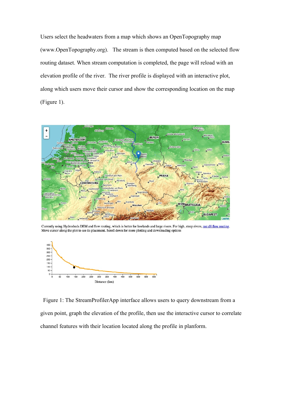Users select the headwaters from a map which shows an OpenTopography map (www.OpenTopography.org). The stream is then computed based on the selected flow routing dataset. When stream computation is completed, the page will reload with an elevation profile of the river. The river profile is displayed with an interactive plot, along which users move their cursor and show the corresponding location on the map (Figure 1).



Currently using Hydrosheds DEM and flow routing, which is better for lowlands and large rivers. For high, steep rivers, use d8 flow routing. Move cursor along the plot to see its placement. Scroll down for more plotting and downloading options



 Figure 1: The StreamProfilerApp interface allows users to query downstream from a given point, graph the elevation of the profile, then use the interactive cursor to correlate channel features with their location located along the profile in planform.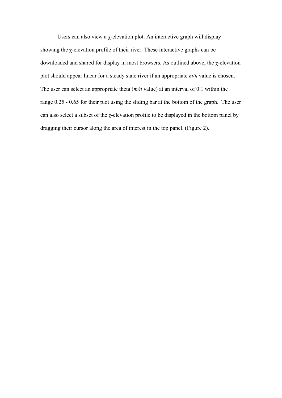Users can also view a  $\chi$ -elevation plot. An interactive graph will display showing the χ-elevation profile of their river. These interactive graphs can be downloaded and shared for display in most browsers. As outlined above, the χ-elevation plot should appear linear for a steady state river if an appropriate *m/n* value is chosen. The user can select an appropriate theta (*m/n* value) at an interval of 0.1 within the range 0.25 - 0.65 for their plot using the sliding bar at the bottom of the graph. The user can also select a subset of the χ-elevation profile to be displayed in the bottom panel by dragging their cursor along the area of interest in the top panel. (Figure 2).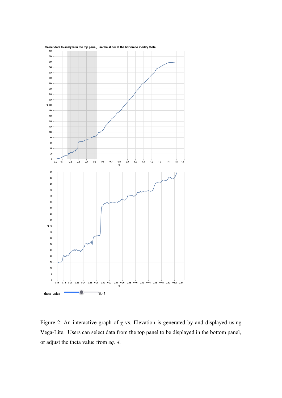

Figure 2: An interactive graph of  $\chi$  vs. Elevation is generated by and displayed using Vega-Lite. Users can select data from the top panel to be displayed in the bottom panel, or adjust the theta value from *eq. 4.*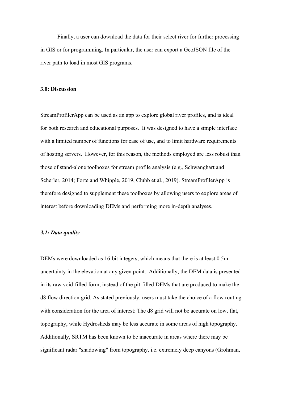Finally, a user can download the data for their select river for further processing in GIS or for programming. In particular, the user can export a GeoJSON file of the river path to load in most GIS programs.

#### **3.0: Discussion**

StreamProfilerApp can be used as an app to explore global river profiles, and is ideal for both research and educational purposes. It was designed to have a simple interface with a limited number of functions for ease of use, and to limit hardware requirements of hosting servers. However, for this reason, the methods employed are less robust than those of stand-alone toolboxes for stream profile analysis (e.g., Schwanghart and Scherler, 2014; Forte and Whipple, 2019, Clubb et al., 2019). StreamProfilerApp is therefore designed to supplement these toolboxes by allowing users to explore areas of interest before downloading DEMs and performing more in-depth analyses.

# *3.1: Data quality*

DEMs were downloaded as 16-bit integers, which means that there is at least 0.5m uncertainty in the elevation at any given point. Additionally, the DEM data is presented in its raw void-filled form, instead of the pit-filled DEMs that are produced to make the d8 flow direction grid. As stated previously, users must take the choice of a flow routing with consideration for the area of interest: The d8 grid will not be accurate on low, flat, topography, while Hydrosheds may be less accurate in some areas of high topography. Additionally, SRTM has been known to be inaccurate in areas where there may be significant radar "shadowing" from topography, i.e. extremely deep canyons (Grohman,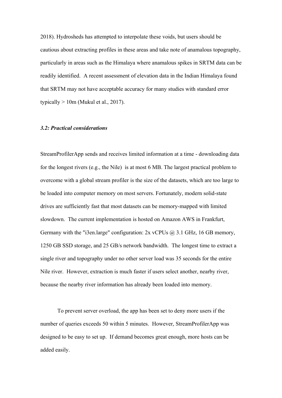2018). Hydrosheds has attempted to interpolate these voids, but users should be cautious about extracting profiles in these areas and take note of anamalous topography, particularly in areas such as the Himalaya where anamalous spikes in SRTM data can be readily identified. A recent assessment of elevation data in the Indian Himalaya found that SRTM may not have acceptable accuracy for many studies with standard error typically  $> 10$ m (Mukul et al., 2017).

# *3.2: Practical considerations*

StreamProfilerApp sends and receives limited information at a time - downloading data for the longest rivers (e.g., the Nile) is at most 6 MB. The largest practical problem to overcome with a global stream profiler is the size of the datasets, which are too large to be loaded into computer memory on most servers. Fortunately, modern solid-state drives are sufficiently fast that most datasets can be memory-mapped with limited slowdown. The current implementation is hosted on Amazon AWS in Frankfurt, Germany with the "i3en.large" configuration:  $2x$  vCPUs  $\omega$ , 3.1 GHz, 16 GB memory, 1250 GB SSD storage, and 25 GB/s network bandwidth. The longest time to extract a single river and topography under no other server load was 35 seconds for the entire Nile river. However, extraction is much faster if users select another, nearby river, because the nearby river information has already been loaded into memory.

To prevent server overload, the app has been set to deny more users if the number of queries exceeds 50 within 5 minutes. However, StreamProfilerApp was designed to be easy to set up. If demand becomes great enough, more hosts can be added easily.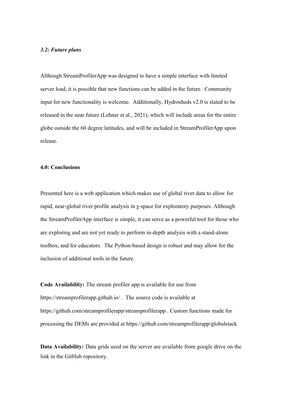# *3.2: Future plans*

Although StreamProfilerApp was designed to have a simple interface with limited server load, it is possible that new functions can be added in the future. Community input for new functionality is welcome. Additionally, Hydrosheds v2.0 is slated to be released in the near future (Lehner et al., 2021), which will include areas for the entire globe outside the 60 degree latitudes, and will be included in StreamProfilerApp upon release.

#### **4.0: Conclusions**

Presented here is a web application which makes use of global river data to allow for rapid, near-global river profile analysis in  $\gamma$ -space for exploratory purposes. Although the StreamProfilerApp interface is simple, it can serve as a powerful tool for those who are exploring and are not yet ready to perform in-depth analysis with a stand-alone toolbox, and for educators. The Python-based design is robust and may allow for the inclusion of additional tools in the future.

**Code Availability:** The stream profiler app is available for use from https://streamprofilerapp.github.io/ . The source code is available at https://github.com/streamprofilerapp/streamprofilerapp . Custom functions made for processing the DEMs are provided at https://github.com/streamprofilerapp/globalstack

**Data Availability:** Data grids used on the server are available from google drive on the link in the GitHub repository.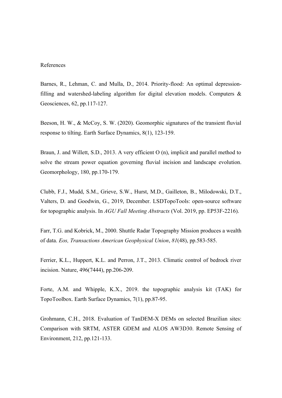#### References

Barnes, R., Lehman, C. and Mulla, D., 2014. Priority-flood: An optimal depressionfilling and watershed-labeling algorithm for digital elevation models. Computers  $\&$ Geosciences, 62, pp.117-127.

Beeson, H. W., & McCoy, S. W. (2020). Geomorphic signatures of the transient fluvial response to tilting. Earth Surface Dynamics, 8(1), 123-159.

Braun, J. and Willett, S.D., 2013. A very efficient O (n), implicit and parallel method to solve the stream power equation governing fluvial incision and landscape evolution. Geomorphology, 180, pp.170-179.

Clubb, F.J., Mudd, S.M., Grieve, S.W., Hurst, M.D., Gailleton, B., Milodowski, D.T., Valters, D. and Goodwin, G., 2019, December. LSDTopoTools: open-source software for topographic analysis. In *AGU Fall Meeting Abstracts* (Vol. 2019, pp. EP53F-2216).

Farr, T.G. and Kobrick, M., 2000. Shuttle Radar Topography Mission produces a wealth of data. *Eos, Transactions American Geophysical Union*, *81*(48), pp.583-585.

Ferrier, K.L., Huppert, K.L. and Perron, J.T., 2013. Climatic control of bedrock river incision. Nature, 496(7444), pp.206-209.

Forte, A.M. and Whipple, K.X., 2019. the topographic analysis kit (TAK) for TopoToolbox. Earth Surface Dynamics, 7(1), pp.87-95.

Grohmann, C.H., 2018. Evaluation of TanDEM-X DEMs on selected Brazilian sites: Comparison with SRTM, ASTER GDEM and ALOS AW3D30. Remote Sensing of Environment, 212, pp.121-133.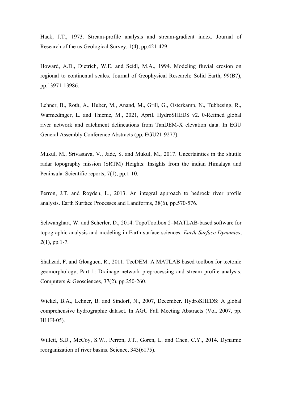Hack, J.T., 1973. Stream-profile analysis and stream-gradient index. Journal of Research of the us Geological Survey, 1(4), pp.421-429.

Howard, A.D., Dietrich, W.E. and Seidl, M.A., 1994. Modeling fluvial erosion on regional to continental scales. Journal of Geophysical Research: Solid Earth, 99(B7), pp.13971-13986.

Lehner, B., Roth, A., Huber, M., Anand, M., Grill, G., Osterkamp, N., Tubbesing, R., Warmedinger, L. and Thieme, M., 2021, April. HydroSHEDS v2. 0-Refined global river network and catchment delineations from TanDEM-X elevation data. In EGU General Assembly Conference Abstracts (pp. EGU21-9277).

Mukul, M., Srivastava, V., Jade, S. and Mukul, M., 2017. Uncertainties in the shuttle radar topography mission (SRTM) Heights: Insights from the indian Himalaya and Peninsula. Scientific reports, 7(1), pp.1-10.

Perron, J.T. and Royden, L., 2013. An integral approach to bedrock river profile analysis. Earth Surface Processes and Landforms, 38(6), pp.570-576.

Schwanghart, W. and Scherler, D., 2014. TopoToolbox 2–MATLAB-based software for topographic analysis and modeling in Earth surface sciences. *Earth Surface Dynamics*, *2*(1), pp.1-7.

Shahzad, F. and Gloaguen, R., 2011. TecDEM: A MATLAB based toolbox for tectonic geomorphology, Part 1: Drainage network preprocessing and stream profile analysis. Computers & Geosciences, 37(2), pp.250-260.

Wickel, B.A., Lehner, B. and Sindorf, N., 2007, December. HydroSHEDS: A global comprehensive hydrographic dataset. In AGU Fall Meeting Abstracts (Vol. 2007, pp. H11H-05).

Willett, S.D., McCoy, S.W., Perron, J.T., Goren, L. and Chen, C.Y., 2014. Dynamic reorganization of river basins. Science, 343(6175).